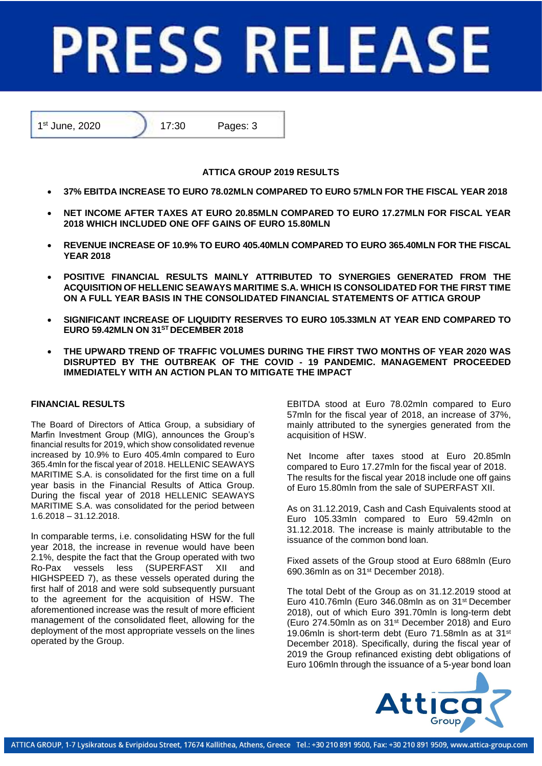# **PRESS RELEASE**

1<sup>st</sup> June, 2020 **17:30** Pages: 3

## **ATTICA GROUP 2019 RESULTS**

- **37% EBITDA INCREASE TO EURO 78.02MLN COMPARED TO EURO 57MLN FOR THE FISCAL YEAR 2018**
- **NET INCOME AFTER TAXES AT EURO 20.85MLN COMPARED TO EURO 17.27MLN FOR FISCAL YEAR 2018 WHICH INCLUDED ONE OFF GAINS OF EURO 15.80MLN**
- **REVENUE INCREASE OF 10.9% TO EURO 405.40MLN COMPARED TO EURO 365.40MLN FOR THE FISCAL YEAR 2018**
- **POSITIVE FINANCIAL RESULTS MAINLY ATTRIBUTED TO SYNERGIES GENERATED FROM THE ACQUISITION OF HELLENIC SEAWAYS MARITIME S.A. WHICH IS CONSOLIDATED FOR THE FIRST TIME ON A FULL YEAR BASIS IN THE CONSOLIDATED FINANCIAL STATEMENTS OF ATTICA GROUP**
- **SIGNIFICANT INCREASE OF LIQUIDITY RESERVES TO EURO 105.33MLN AT YEAR END COMPARED TO EURO 59.42MLN ON 31ST DECEMBER 2018**
- **THE UPWARD TREND OF TRAFFIC VOLUMES DURING THE FIRST TWO MONTHS OF YEAR 2020 WAS DISRUPTED BY THE OUTBREAK OF THE COVID - 19 PANDEMIC. MANAGEMENT PROCEEDED IMMEDIATELY WITH AN ACTION PLAN TO MITIGATE THE IMPACT**

# **FINANCIAL RESULTS**

The Board of Directors of Attica Group, a subsidiary of Marfin Investment Group (MIG), announces the Group's financial results for 2019, which show consolidated revenue increased by 10.9% to Euro 405.4mln compared to Euro 365.4mln for the fiscal year of 2018. HELLENIC SEAWAYS MARITIME S.A. is consolidated for the first time on a full year basis in the Financial Results of Attica Group. During the fiscal year of 2018 HELLENIC SEAWAYS MARITIME S.A. was consolidated for the period between 1.6.2018 – 31.12.2018.

Ιn comparable terms, i.e. consolidating HSW for the full year 2018, the increase in revenue would have been 2.1%, despite the fact that the Group operated with two Ro-Pax vessels less (SUPERFAST XII and HIGHSPEED 7), as these vessels operated during the first half of 2018 and were sold subsequently pursuant to the agreement for the acquisition of HSW. The aforementioned increase was the result of more efficient management of the consolidated fleet, allowing for the deployment of the most appropriate vessels on the lines operated by the Group.

EBITDA stood at Euro 78.02mln compared to Euro 57mln for the fiscal year of 2018, an increase of 37%, mainly attributed to the synergies generated from the acquisition of HSW.

Net Income after taxes stood at Euro 20.85mln compared to Euro 17.27mln for the fiscal year of 2018. The results for the fiscal year 2018 include one off gains of Euro 15.80mln from the sale of SUPERFAST XII.

As on 31.12.2019, Cash and Cash Equivalents stood at Euro 105.33mln compared to Euro 59.42mln on 31.12.2018. The increase is mainly attributable to the issuance of the common bond loan.

Fixed assets of the Group stood at Euro 688mln (Euro 690.36mln as on 31st December 2018).

The total Debt of the Group as on 31.12.2019 stood at Euro 410.76mln (Euro 346.08mln as on 31st December 2018), out of which Euro 391.70mln is long-term debt (Euro 274.50mln as on 31st December 2018) and Euro 19.06mln is short-term debt (Euro 71.58mln as at 31st December 2018). Specifically, during the fiscal year of 2019 the Group refinanced existing debt obligations of Euro 106mln through the issuance of a 5-year bond loan

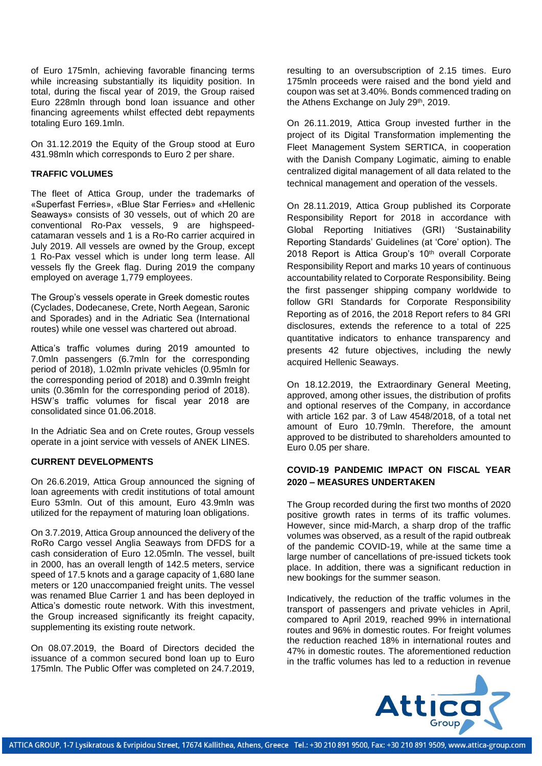of Euro 175mln, achieving favorable financing terms while increasing substantially its liquidity position. In total, during the fiscal year of 2019, the Group raised Euro 228mln through bond loan issuance and other financing agreements whilst effected debt repayments totaling Euro 169.1mln.

On 31.12.2019 the Equity of the Group stood at Euro 431.98mln which corresponds to Euro 2 per share.

### **TRAFFIC VOLUMES**

The fleet of Attica Group, under the trademarks of «Superfast Ferries», «Blue Star Ferries» and «Hellenic Seaways» consists of 30 vessels, out of which 20 are conventional Ro-Pax vessels, 9 are highspeedcatamaran vessels and 1 is a Ro-Ro carrier acquired in July 2019. All vessels are owned by the Group, except 1 Ro-Pax vessel which is under long term lease. All vessels fly the Greek flag. During 2019 the company employed on average 1,779 employees.

The Group's vessels operate in Greek domestic routes (Cyclades, Dodecanese, Crete, North Aegean, Saronic and Sporades) and in the Adriatic Sea (International routes) while one vessel was chartered out abroad.

Attica's traffic volumes during 2019 amounted to 7.0mln passengers (6.7mln for the corresponding period of 2018), 1.02mln private vehicles (0.95mln for the corresponding period of 2018) and 0.39mln freight units (0.36mln for the corresponding period of 2018). HSW's traffic volumes for fiscal year 2018 are consolidated since 01.06.2018.

In the Adriatic Sea and on Crete routes, Group vessels operate in a joint service with vessels of ANEK LINES.

### **CURRENT DEVELOPMENTS**

On 26.6.2019, Attica Group announced the signing of loan agreements with credit institutions of total amount Euro 53mln. Out of this amount, Euro 43.9mln was utilized for the repayment of maturing loan obligations.

On 3.7.2019, Attica Group announced the delivery of the RoRo Cargo vessel Anglia Seaways from DFDS for a cash consideration of Euro 12.05mln. The vessel, built in 2000, has an overall length of 142.5 meters, service speed of 17.5 knots and a garage capacity of 1,680 lane meters or 120 unaccompanied freight units. The vessel was renamed Blue Carrier 1 and has been deployed in Attica's domestic route network. With this investment, the Group increased significantly its freight capacity, supplementing its existing route network.

On 08.07.2019, the Board of Directors decided the issuance of a common secured bond loan up to Euro 175mln. The Public Offer was completed on 24.7.2019,

resulting to an oversubscription of 2.15 times. Euro 175mln proceeds were raised and the bond yield and coupon was set at 3.40%. Bonds commenced trading on the Athens Exchange on July 29th, 2019.

On 26.11.2019, Attica Group invested further in the project of its Digital Transformation implementing the Fleet Management System SERTICA, in cooperation with the Danish Company Logimatic, aiming to enable centralized digital management of all data related to the technical management and operation of the vessels.

On 28.11.2019, Attica Group published its Corporate Responsibility Report for 2018 in accordance with Global Reporting Initiatives (GRI) 'Sustainability Reporting Standards' Guidelines (at 'Core' option). The 2018 Report is Attica Group's 10<sup>th</sup> overall Corporate Responsibility Report and marks 10 years of continuous accountability related to Corporate Responsibility. Being the first passenger shipping company worldwide to follow GRI Standards for Corporate Responsibility Reporting as of 2016, the 2018 Report refers to 84 GRI disclosures, extends the reference to a total of 225 quantitative indicators to enhance transparency and presents 42 future objectives, including the newly acquired Hellenic Seaways.

On 18.12.2019, the Extraordinary General Meeting, approved, among other issues, the distribution of profits and optional reserves of the Company, in accordance with article 162 par. 3 of Law 4548/2018, of a total net amount of Euro 10.79mln. Therefore, the amount approved to be distributed to shareholders amounted to Euro 0.05 per share.

### **COVID-19 PANDEMIC IMPACT ON FISCAL YEAR 2020 – MEASURES UNDERTAKEN**

The Group recorded during the first two months of 2020 positive growth rates in terms of its traffic volumes. However, since mid-March, a sharp drop of the traffic volumes was observed, as a result of the rapid outbreak of the pandemic COVID-19, while at the same time a large number of cancellations of pre-issued tickets took place. In addition, there was a significant reduction in new bookings for the summer season.

Indicatively, the reduction of the traffic volumes in the transport of passengers and private vehicles in April, compared to April 2019, reached 99% in international routes and 96% in domestic routes. For freight volumes the reduction reached 18% in international routes and 47% in domestic routes. The aforementioned reduction in the traffic volumes has led to a reduction in revenue